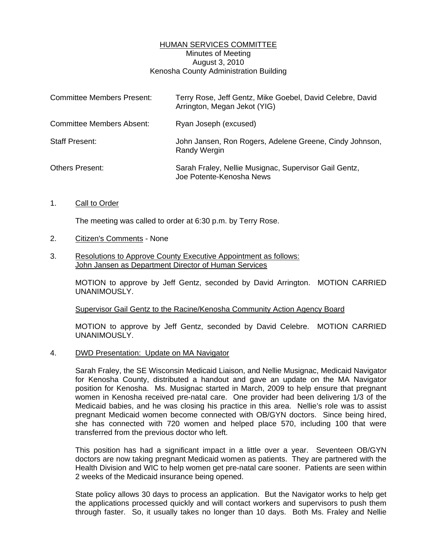# HUMAN SERVICES COMMITTEE Minutes of Meeting August 3, 2010 Kenosha County Administration Building

| <b>Committee Members Present:</b> | Terry Rose, Jeff Gentz, Mike Goebel, David Celebre, David<br>Arrington, Megan Jekot (YIG) |
|-----------------------------------|-------------------------------------------------------------------------------------------|
| Committee Members Absent:         | Ryan Joseph (excused)                                                                     |
| <b>Staff Present:</b>             | John Jansen, Ron Rogers, Adelene Greene, Cindy Johnson,<br><b>Randy Wergin</b>            |
| Others Present:                   | Sarah Fraley, Nellie Musignac, Supervisor Gail Gentz,<br>Joe Potente-Kenosha News         |

#### 1. Call to Order

The meeting was called to order at 6:30 p.m. by Terry Rose.

# 2. Citizen's Comments - None

### 3. Resolutions to Approve County Executive Appointment as follows: John Jansen as Department Director of Human Services

 MOTION to approve by Jeff Gentz, seconded by David Arrington. MOTION CARRIED UNANIMOUSLY.

#### Supervisor Gail Gentz to the Racine/Kenosha Community Action Agency Board

 MOTION to approve by Jeff Gentz, seconded by David Celebre. MOTION CARRIED UNANIMOUSLY.

#### 4. DWD Presentation: Update on MA Navigator

 Sarah Fraley, the SE Wisconsin Medicaid Liaison, and Nellie Musignac, Medicaid Navigator for Kenosha County, distributed a handout and gave an update on the MA Navigator position for Kenosha. Ms. Musignac started in March, 2009 to help ensure that pregnant women in Kenosha received pre-natal care. One provider had been delivering 1/3 of the Medicaid babies, and he was closing his practice in this area. Nellie's role was to assist pregnant Medicaid women become connected with OB/GYN doctors. Since being hired, she has connected with 720 women and helped place 570, including 100 that were transferred from the previous doctor who left.

 This position has had a significant impact in a little over a year. Seventeen OB/GYN doctors are now taking pregnant Medicaid women as patients. They are partnered with the Health Division and WIC to help women get pre-natal care sooner. Patients are seen within 2 weeks of the Medicaid insurance being opened.

 State policy allows 30 days to process an application. But the Navigator works to help get the applications processed quickly and will contact workers and supervisors to push them through faster. So, it usually takes no longer than 10 days. Both Ms. Fraley and Nellie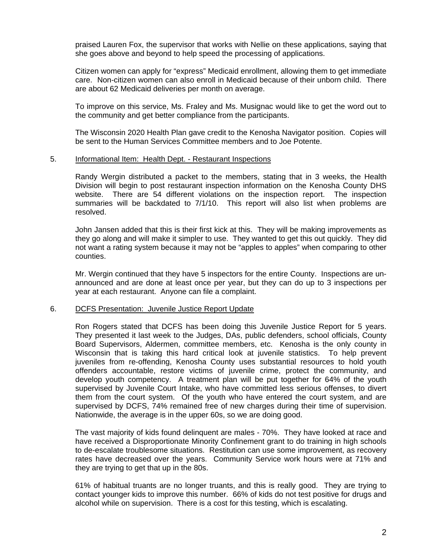praised Lauren Fox, the supervisor that works with Nellie on these applications, saying that she goes above and beyond to help speed the processing of applications.

 Citizen women can apply for "express" Medicaid enrollment, allowing them to get immediate care. Non-citizen women can also enroll in Medicaid because of their unborn child. There are about 62 Medicaid deliveries per month on average.

 To improve on this service, Ms. Fraley and Ms. Musignac would like to get the word out to the community and get better compliance from the participants.

 The Wisconsin 2020 Health Plan gave credit to the Kenosha Navigator position. Copies will be sent to the Human Services Committee members and to Joe Potente.

#### 5. Informational Item: Health Dept. - Restaurant Inspections

 Randy Wergin distributed a packet to the members, stating that in 3 weeks, the Health Division will begin to post restaurant inspection information on the Kenosha County DHS website. There are 54 different violations on the inspection report. The inspection summaries will be backdated to 7/1/10. This report will also list when problems are resolved.

 John Jansen added that this is their first kick at this. They will be making improvements as they go along and will make it simpler to use. They wanted to get this out quickly. They did not want a rating system because it may not be "apples to apples" when comparing to other counties.

 Mr. Wergin continued that they have 5 inspectors for the entire County. Inspections are unannounced and are done at least once per year, but they can do up to 3 inspections per year at each restaurant. Anyone can file a complaint.

#### 6. DCFS Presentation: Juvenile Justice Report Update

 Ron Rogers stated that DCFS has been doing this Juvenile Justice Report for 5 years. They presented it last week to the Judges, DAs, public defenders, school officials, County Board Supervisors, Aldermen, committee members, etc. Kenosha is the only county in Wisconsin that is taking this hard critical look at juvenile statistics. To help prevent juveniles from re-offending, Kenosha County uses substantial resources to hold youth offenders accountable, restore victims of juvenile crime, protect the community, and develop youth competency. A treatment plan will be put together for 64% of the youth supervised by Juvenile Court Intake, who have committed less serious offenses, to divert them from the court system. Of the youth who have entered the court system, and are supervised by DCFS, 74% remained free of new charges during their time of supervision. Nationwide, the average is in the upper 60s, so we are doing good.

 The vast majority of kids found delinquent are males - 70%. They have looked at race and have received a Disproportionate Minority Confinement grant to do training in high schools to de-escalate troublesome situations. Restitution can use some improvement, as recovery rates have decreased over the years. Community Service work hours were at 71% and they are trying to get that up in the 80s.

 61% of habitual truants are no longer truants, and this is really good. They are trying to contact younger kids to improve this number. 66% of kids do not test positive for drugs and alcohol while on supervision. There is a cost for this testing, which is escalating.